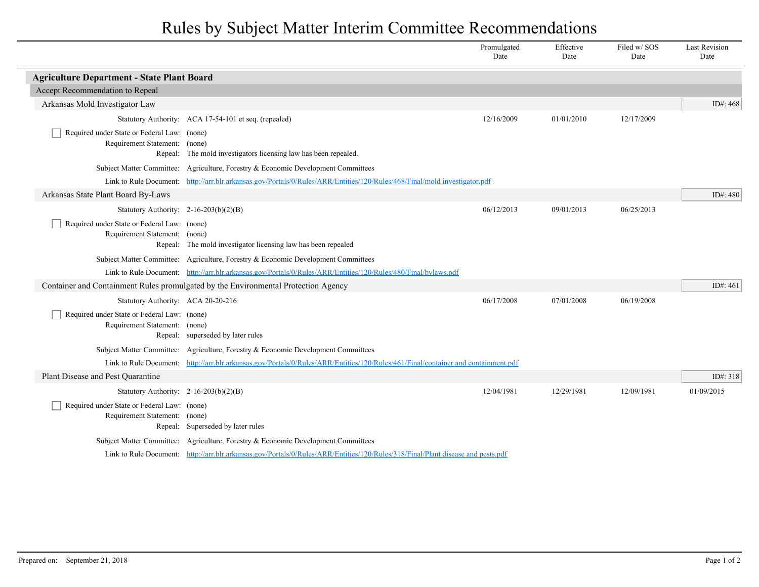## Rules by Subject Matter Interim Committee Recommendations

|                                                                              |                                                                                                                                 | Promulgated<br>Date | Effective<br>Date | Filed w/ SOS<br>Date | <b>Last Revision</b><br>Date |  |  |
|------------------------------------------------------------------------------|---------------------------------------------------------------------------------------------------------------------------------|---------------------|-------------------|----------------------|------------------------------|--|--|
| <b>Agriculture Department - State Plant Board</b>                            |                                                                                                                                 |                     |                   |                      |                              |  |  |
| Accept Recommendation to Repeal                                              |                                                                                                                                 |                     |                   |                      |                              |  |  |
| Arkansas Mold Investigator Law                                               |                                                                                                                                 |                     |                   |                      | ID#: $468$                   |  |  |
|                                                                              | Statutory Authority: ACA 17-54-101 et seq. (repealed)                                                                           | 12/16/2009          | 01/01/2010        | 12/17/2009           |                              |  |  |
| Required under State or Federal Law: (none)<br>Requirement Statement: (none) | Repeal: The mold investigators licensing law has been repealed.                                                                 |                     |                   |                      |                              |  |  |
|                                                                              | Subject Matter Committee: Agriculture, Forestry & Economic Development Committees                                               |                     |                   |                      |                              |  |  |
|                                                                              | Link to Rule Document: http://arr.blr.arkansas.gov/Portals/0/Rules/ARR/Entities/120/Rules/468/Final/mold investigator.pdf       |                     |                   |                      |                              |  |  |
| Arkansas State Plant Board By-Laws                                           |                                                                                                                                 |                     |                   |                      | ID#: 480                     |  |  |
| Statutory Authority: 2-16-203(b)(2)(B)                                       |                                                                                                                                 | 06/12/2013          | 09/01/2013        | 06/25/2013           |                              |  |  |
| Required under State or Federal Law: (none)<br>Requirement Statement: (none) | Repeal: The mold investigator licensing law has been repealed                                                                   |                     |                   |                      |                              |  |  |
|                                                                              | Subject Matter Committee: Agriculture, Forestry & Economic Development Committees                                               |                     |                   |                      |                              |  |  |
|                                                                              | Link to Rule Document: http://arr.blr.arkansas.gov/Portals/0/Rules/ARR/Entities/120/Rules/480/Final/bylaws.pdf                  |                     |                   |                      |                              |  |  |
|                                                                              | Container and Containment Rules promulgated by the Environmental Protection Agency                                              |                     |                   |                      | ID#: 461                     |  |  |
| Statutory Authority: ACA 20-20-216                                           |                                                                                                                                 | 06/17/2008          | 07/01/2008        | 06/19/2008           |                              |  |  |
| Required under State or Federal Law: (none)<br>Requirement Statement: (none) | Repeal: superseded by later rules                                                                                               |                     |                   |                      |                              |  |  |
|                                                                              | Subject Matter Committee: Agriculture, Forestry & Economic Development Committees                                               |                     |                   |                      |                              |  |  |
| Link to Rule Document:                                                       | http://arr.blr.arkansas.gov/Portals/0/Rules/ARR/Entities/120/Rules/461/Final/container and containment.pdf                      |                     |                   |                      |                              |  |  |
| Plant Disease and Pest Quarantine                                            |                                                                                                                                 |                     |                   |                      | ID#: 318                     |  |  |
| Statutory Authority: $2-16-203(b)(2)(B)$                                     |                                                                                                                                 | 12/04/1981          | 12/29/1981        | 12/09/1981           | 01/09/2015                   |  |  |
| Required under State or Federal Law: (none)<br>Requirement Statement: (none) | Repeal: Superseded by later rules                                                                                               |                     |                   |                      |                              |  |  |
|                                                                              | Subject Matter Committee: Agriculture, Forestry & Economic Development Committees                                               |                     |                   |                      |                              |  |  |
|                                                                              | Link to Rule Document: http://arr.blr.arkansas.gov/Portals/0/Rules/ARR/Entities/120/Rules/318/Final/Plant disease and pests.pdf |                     |                   |                      |                              |  |  |